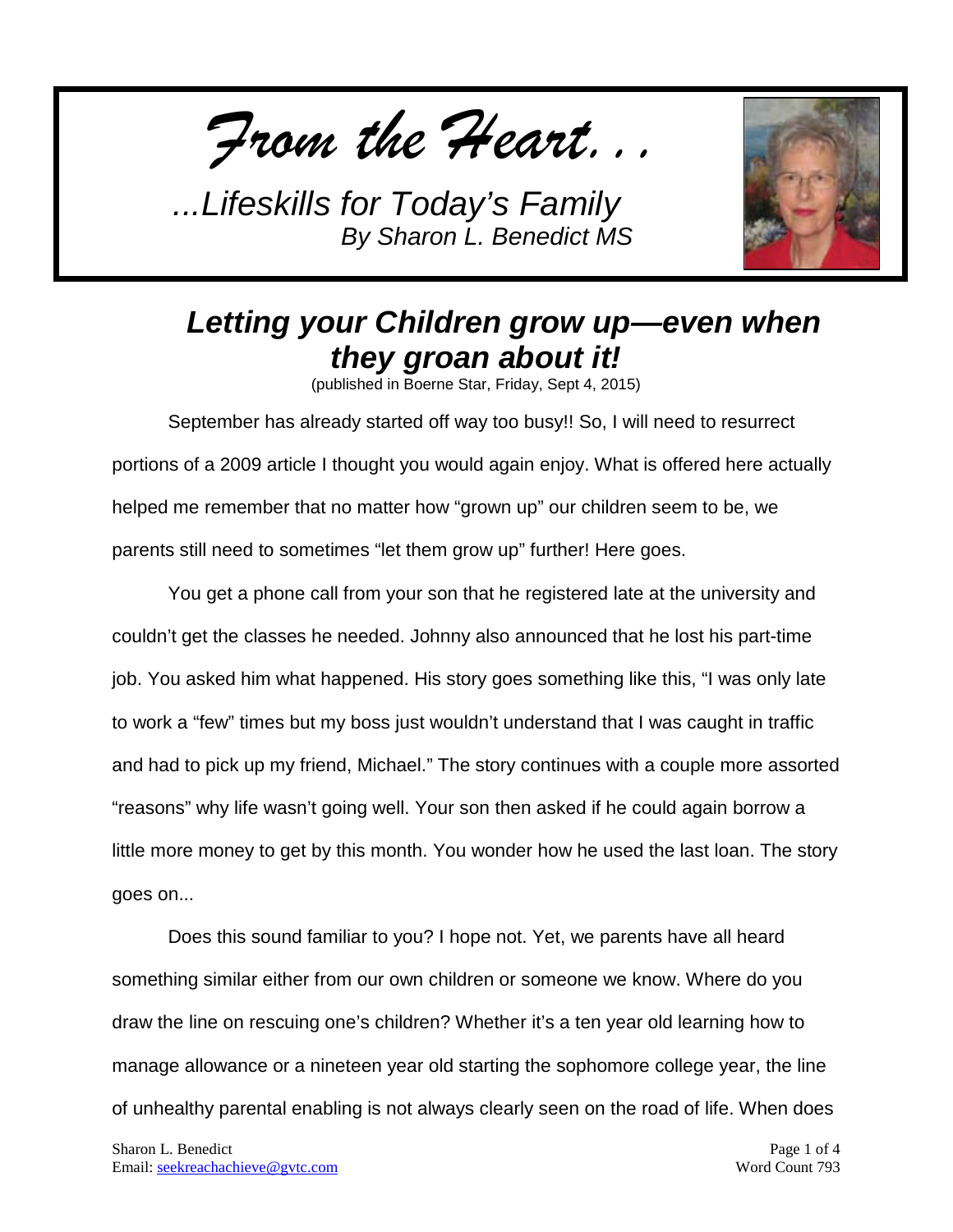*From the Heart...*



## *Letting your Children grow up—even when they groan about it!*

(published in Boerne Star, Friday, Sept 4, 2015)

September has already started off way too busy!! So, I will need to resurrect portions of a 2009 article I thought you would again enjoy. What is offered here actually helped me remember that no matter how "grown up" our children seem to be, we parents still need to sometimes "let them grow up" further! Here goes.

You get a phone call from your son that he registered late at the university and couldn't get the classes he needed. Johnny also announced that he lost his part-time job. You asked him what happened. His story goes something like this, "I was only late to work a "few" times but my boss just wouldn't understand that I was caught in traffic and had to pick up my friend, Michael." The story continues with a couple more assorted "reasons" why life wasn't going well. Your son then asked if he could again borrow a little more money to get by this month. You wonder how he used the last loan. The story goes on...

Does this sound familiar to you? I hope not. Yet, we parents have all heard something similar either from our own children or someone we know. Where do you draw the line on rescuing one's children? Whether it's a ten year old learning how to manage allowance or a nineteen year old starting the sophomore college year, the line of unhealthy parental enabling is not always clearly seen on the road of life. When does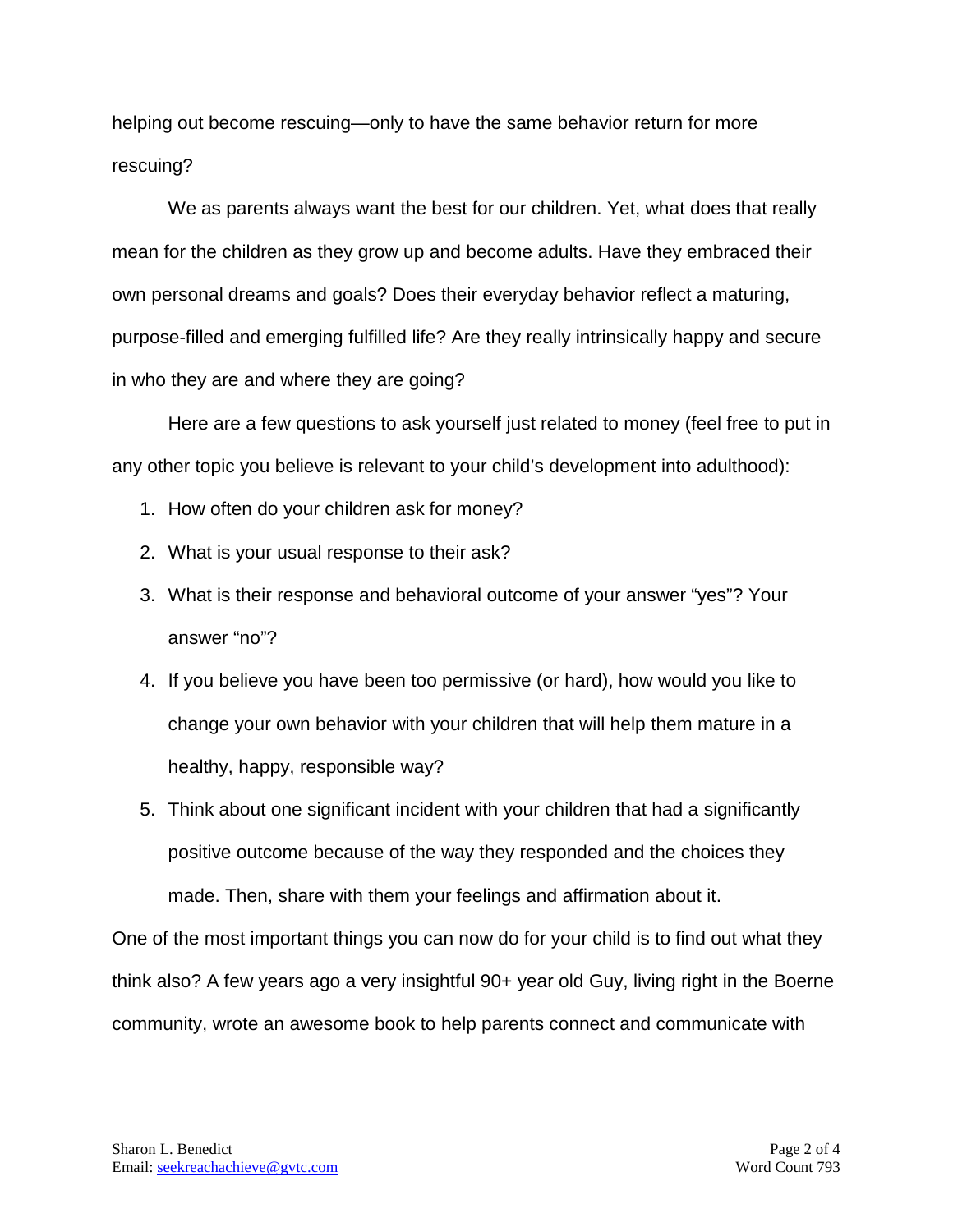helping out become rescuing—only to have the same behavior return for more rescuing?

We as parents always want the best for our children. Yet, what does that really mean for the children as they grow up and become adults. Have they embraced their own personal dreams and goals? Does their everyday behavior reflect a maturing, purpose-filled and emerging fulfilled life? Are they really intrinsically happy and secure in who they are and where they are going?

Here are a few questions to ask yourself just related to money (feel free to put in any other topic you believe is relevant to your child's development into adulthood):

- 1. How often do your children ask for money?
- 2. What is your usual response to their ask?
- 3. What is their response and behavioral outcome of your answer "yes"? Your answer "no"?
- 4. If you believe you have been too permissive (or hard), how would you like to change your own behavior with your children that will help them mature in a healthy, happy, responsible way?
- 5. Think about one significant incident with your children that had a significantly positive outcome because of the way they responded and the choices they made. Then, share with them your feelings and affirmation about it.

One of the most important things you can now do for your child is to find out what they think also? A few years ago a very insightful 90+ year old Guy, living right in the Boerne community, wrote an awesome book to help parents connect and communicate with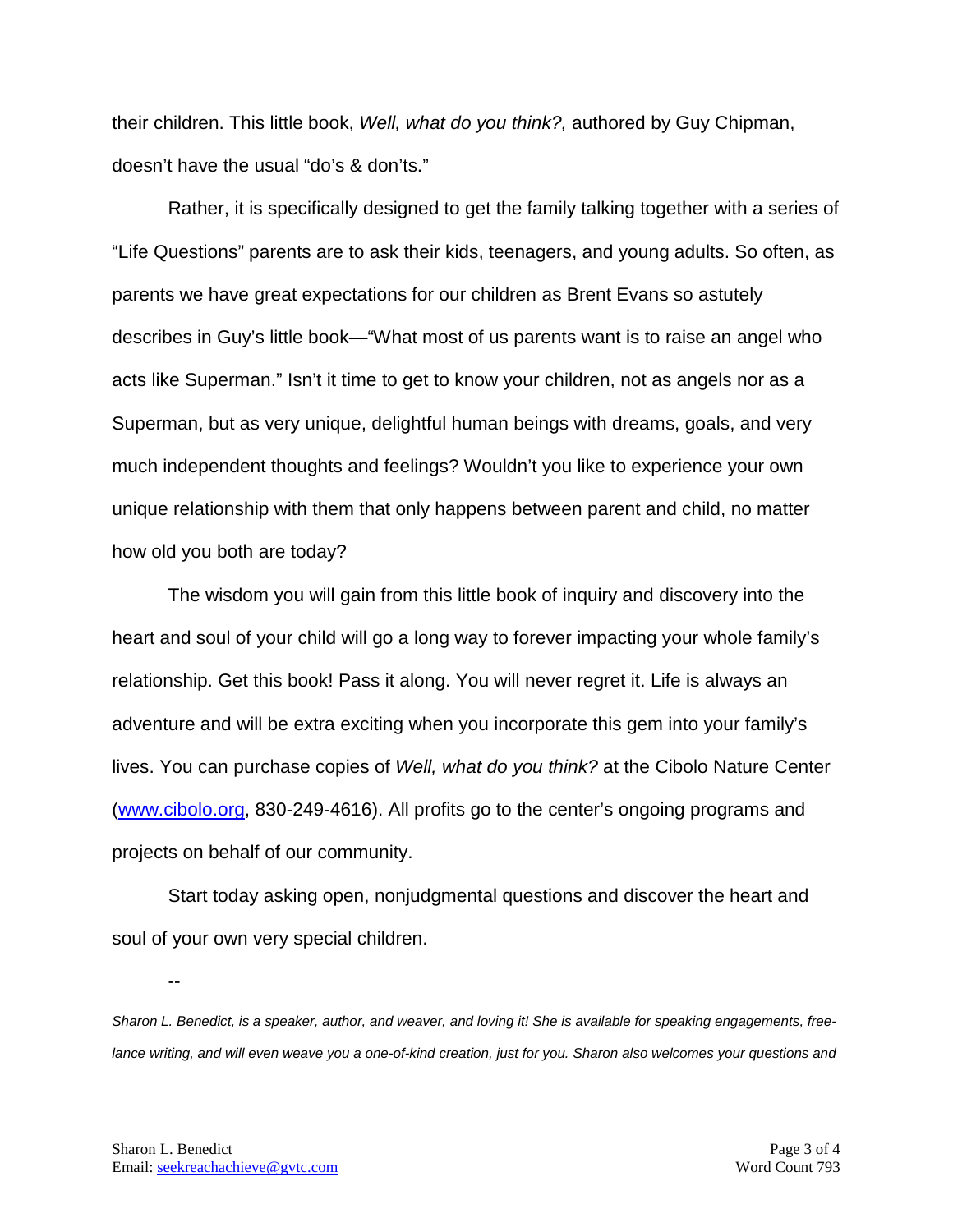their children. This little book, *Well, what do you think?,* authored by Guy Chipman, doesn't have the usual "do's & don'ts."

Rather, it is specifically designed to get the family talking together with a series of "Life Questions" parents are to ask their kids, teenagers, and young adults. So often, as parents we have great expectations for our children as Brent Evans so astutely describes in Guy's little book—"What most of us parents want is to raise an angel who acts like Superman." Isn't it time to get to know your children, not as angels nor as a Superman, but as very unique, delightful human beings with dreams, goals, and very much independent thoughts and feelings? Wouldn't you like to experience your own unique relationship with them that only happens between parent and child, no matter how old you both are today?

The wisdom you will gain from this little book of inquiry and discovery into the heart and soul of your child will go a long way to forever impacting your whole family's relationship. Get this book! Pass it along. You will never regret it. Life is always an adventure and will be extra exciting when you incorporate this gem into your family's lives. You can purchase copies of *Well, what do you think?* at the Cibolo Nature Center [\(www.cibolo.org,](http://www.cibolo.org/) 830-249-4616). All profits go to the center's ongoing programs and projects on behalf of our community.

Start today asking open, nonjudgmental questions and discover the heart and soul of your own very special children.

*Sharon L. Benedict, is a speaker, author, and weaver, and loving it! She is available for speaking engagements, free*lance writing, and will even weave you a one-of-kind creation, just for you. Sharon also welcomes your questions and

--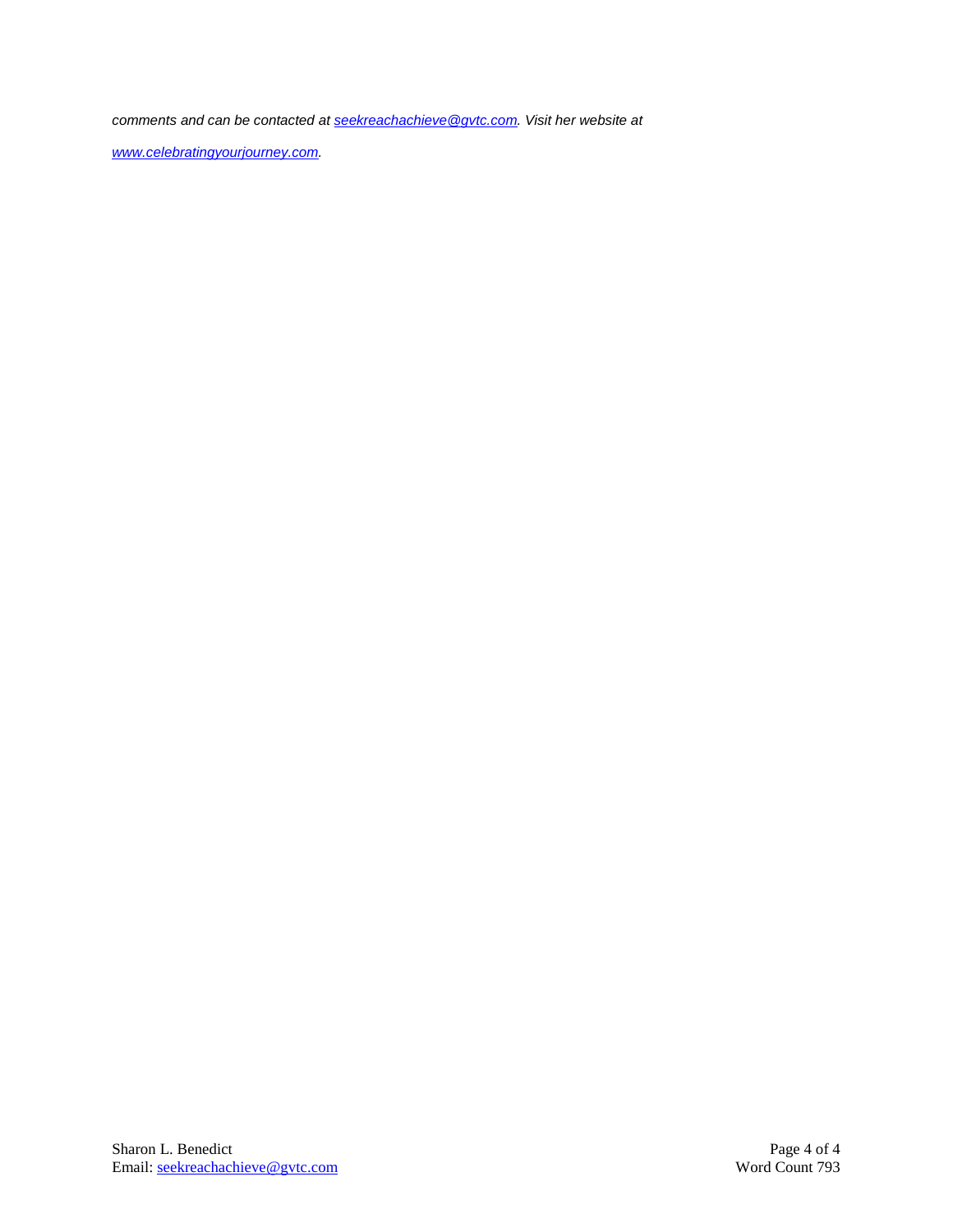*comments and can be contacted a[t seekreachachieve@gvtc.com.](mailto:seekreachachieve@gvtc.com) Visit her website at* 

*[www.celebratingyourjourney.com.](http://www.celebratingyourjourney.com/)*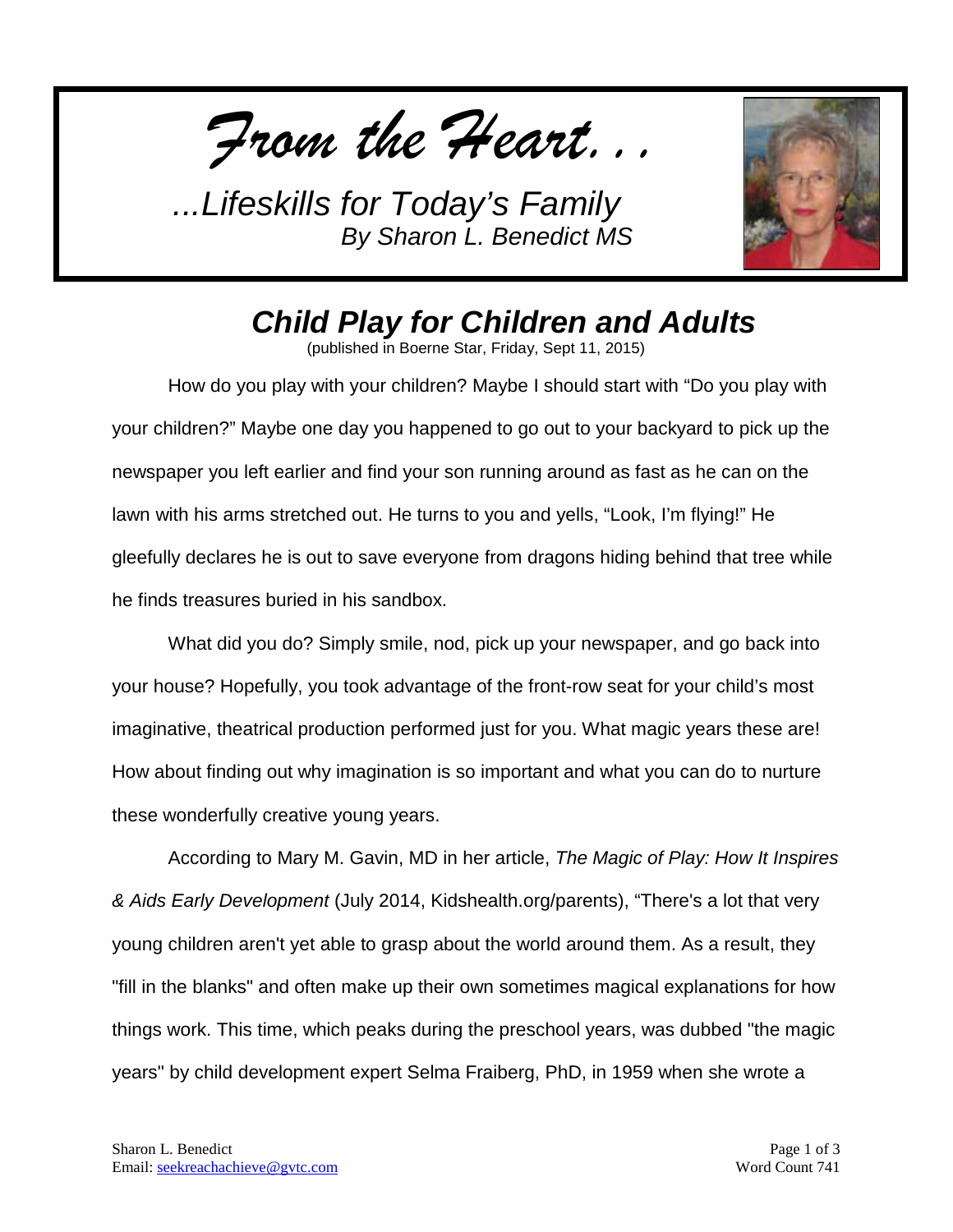*From the Heart...*



## *Child Play for Children and Adults*

(published in Boerne Star, Friday, Sept 11, 2015)

How do you play with your children? Maybe I should start with "Do you play with your children?" Maybe one day you happened to go out to your backyard to pick up the newspaper you left earlier and find your son running around as fast as he can on the lawn with his arms stretched out. He turns to you and yells, "Look, I'm flying!" He gleefully declares he is out to save everyone from dragons hiding behind that tree while he finds treasures buried in his sandbox.

What did you do? Simply smile, nod, pick up your newspaper, and go back into your house? Hopefully, you took advantage of the front-row seat for your child's most imaginative, theatrical production performed just for you. What magic years these are! How about finding out why imagination is so important and what you can do to nurture these wonderfully creative young years.

According to Mary M. Gavin, MD in her article, *The Magic of Play: How It Inspires & Aids Early Development* (July 2014, Kidshealth.org/parents), "There's a lot that very young children aren't yet able to grasp about the world around them. As a result, they "fill in the blanks" and often make up their own sometimes magical explanations for how things work. This time, which peaks during the preschool years, was dubbed "the magic years" by child development expert Selma Fraiberg, PhD, in 1959 when she wrote a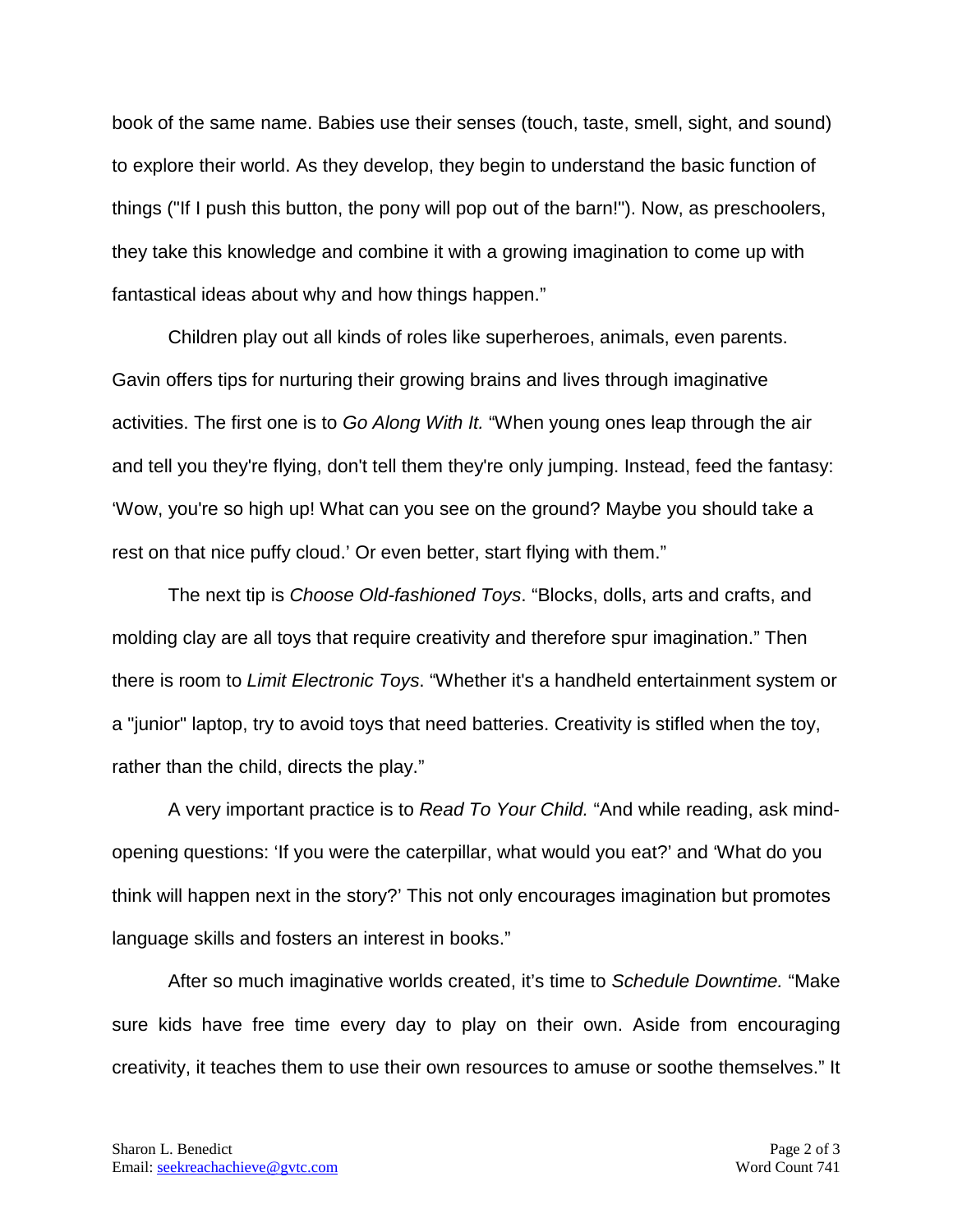book of the same name. Babies use their senses (touch, taste, smell, sight, and sound) to explore their world. As they develop, they begin to understand the basic function of things ("If I push this button, the pony will pop out of the barn!"). Now, as preschoolers, they take this knowledge and combine it with a growing imagination to come up with fantastical ideas about why and how things happen."

Children play out all kinds of roles like superheroes, animals, even parents. Gavin offers tips for nurturing their growing brains and lives through imaginative activities. The first one is to *Go Along With It.* "When young ones leap through the air and tell you they're flying, don't tell them they're only jumping. Instead, feed the fantasy: 'Wow, you're so high up! What can you see on the ground? Maybe you should take a rest on that nice puffy cloud.' Or even better, start flying with them."

The next tip is *Choose Old-fashioned Toys*. "Blocks, dolls, arts and crafts, and molding clay are all toys that require creativity and therefore spur imagination." Then there is room to *Limit Electronic Toys*. "Whether it's a handheld entertainment system or a "junior" laptop, try to avoid toys that need batteries. Creativity is stifled when the toy, rather than the child, directs the play."

A very important practice is to *Read To Your Child.* "And while reading, ask mindopening questions: 'If you were the caterpillar, what would you eat?' and 'What do you think will happen next in the story?' This not only encourages imagination but promotes language skills and fosters an interest in books."

After so much imaginative worlds created, it's time to *Schedule Downtime.* "Make sure kids have free time every day to play on their own. Aside from encouraging creativity, it teaches them to use their own resources to amuse or soothe themselves." It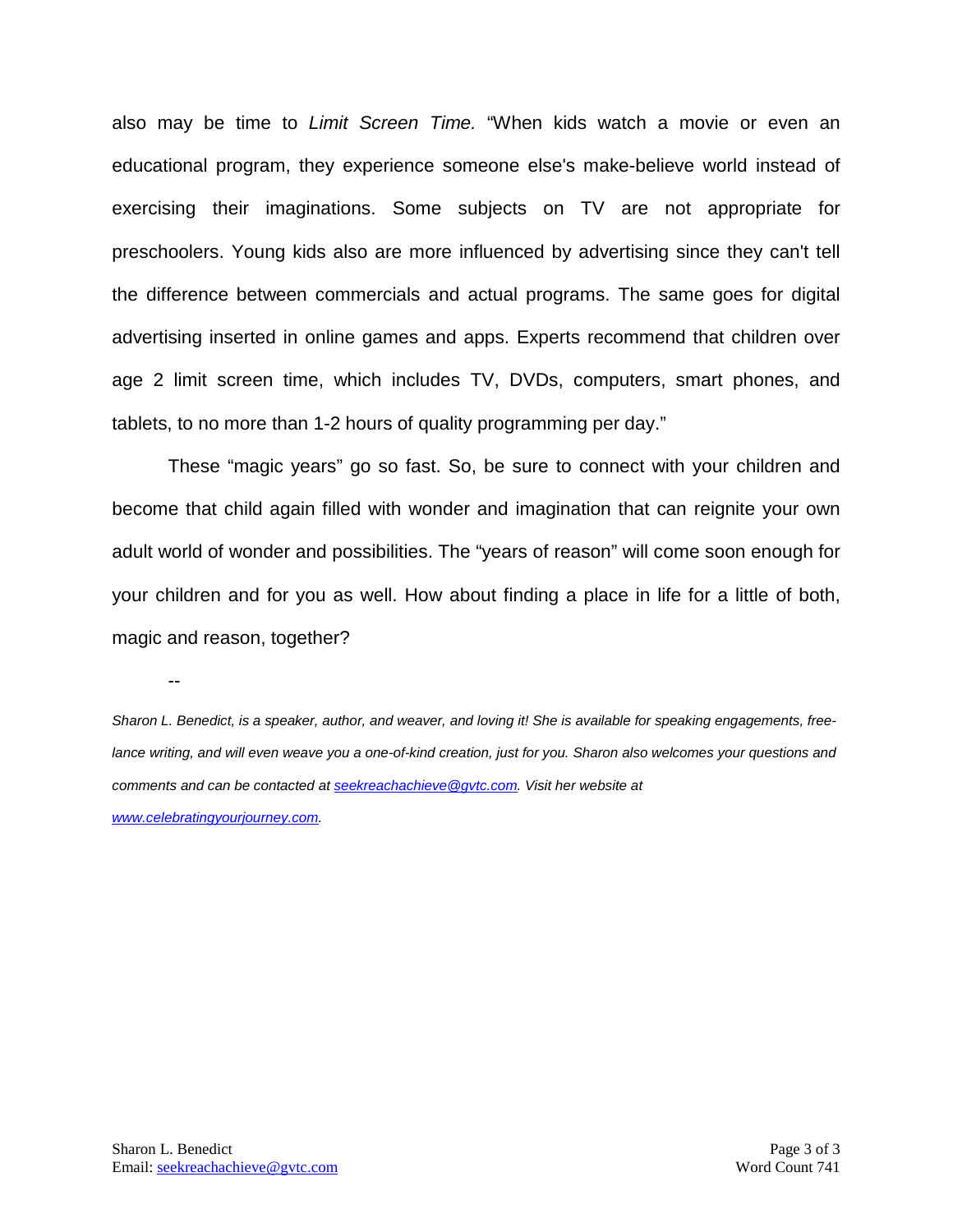also may be time to *Limit Screen Time.* "When kids watch a movie or even an educational program, they experience someone else's make-believe world instead of exercising their imaginations. Some subjects on TV are not appropriate for preschoolers. Young kids also are more influenced by advertising since they can't tell the difference between commercials and actual programs. The same goes for digital advertising inserted in online games and apps. Experts recommend that children over age 2 limit screen time, which includes TV, DVDs, computers, smart phones, and tablets, to no more than 1-2 hours of quality programming per day."

These "magic years" go so fast. So, be sure to connect with your children and become that child again filled with wonder and imagination that can reignite your own adult world of wonder and possibilities. The "years of reason" will come soon enough for your children and for you as well. How about finding a place in life for a little of both, magic and reason, together?

--

*Sharon L. Benedict, is a speaker, author, and weaver, and loving it! She is available for speaking engagements, freelance writing, and will even weave you a one-of-kind creation, just for you. Sharon also welcomes your questions and comments and can be contacted a[t seekreachachieve@gvtc.com.](mailto:seekreachachieve@gvtc.com) Visit her website at* 

*[www.celebratingyourjourney.com.](http://www.celebratingyourjourney.com/)*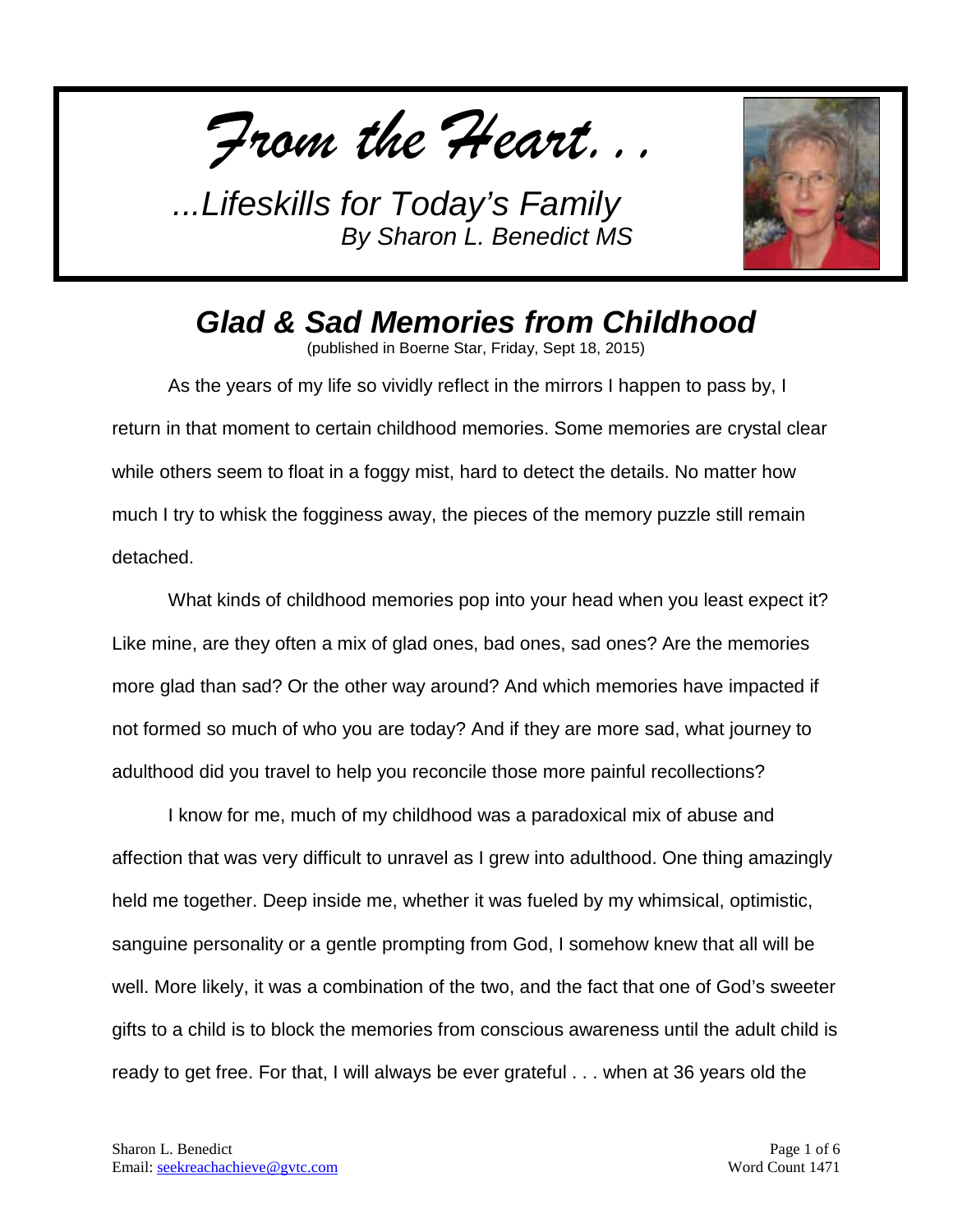*From the Heart...*



## *Glad & Sad Memories from Childhood*

(published in Boerne Star, Friday, Sept 18, 2015)

As the years of my life so vividly reflect in the mirrors I happen to pass by, I return in that moment to certain childhood memories. Some memories are crystal clear while others seem to float in a foggy mist, hard to detect the details. No matter how much I try to whisk the fogginess away, the pieces of the memory puzzle still remain detached.

What kinds of childhood memories pop into your head when you least expect it? Like mine, are they often a mix of glad ones, bad ones, sad ones? Are the memories more glad than sad? Or the other way around? And which memories have impacted if not formed so much of who you are today? And if they are more sad, what journey to adulthood did you travel to help you reconcile those more painful recollections?

I know for me, much of my childhood was a paradoxical mix of abuse and affection that was very difficult to unravel as I grew into adulthood. One thing amazingly held me together. Deep inside me, whether it was fueled by my whimsical, optimistic, sanguine personality or a gentle prompting from God, I somehow knew that all will be well. More likely, it was a combination of the two, and the fact that one of God's sweeter gifts to a child is to block the memories from conscious awareness until the adult child is ready to get free. For that, I will always be ever grateful . . . when at 36 years old the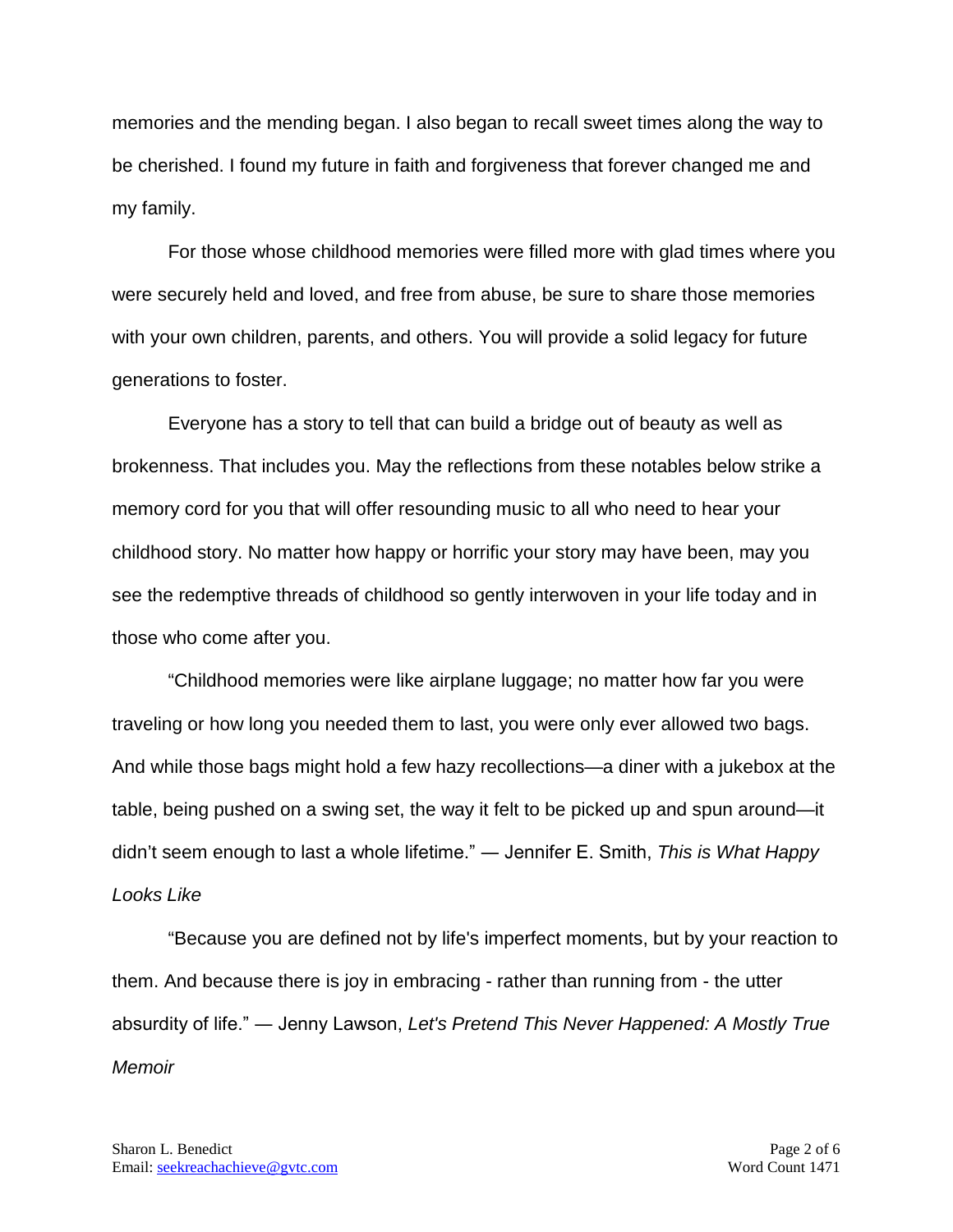memories and the mending began. I also began to recall sweet times along the way to be cherished. I found my future in faith and forgiveness that forever changed me and my family.

For those whose childhood memories were filled more with glad times where you were securely held and loved, and free from abuse, be sure to share those memories with your own children, parents, and others. You will provide a solid legacy for future generations to foster.

Everyone has a story to tell that can build a bridge out of beauty as well as brokenness. That includes you. May the reflections from these notables below strike a memory cord for you that will offer resounding music to all who need to hear your childhood story. No matter how happy or horrific your story may have been, may you see the redemptive threads of childhood so gently interwoven in your life today and in those who come after you.

"Childhood memories were like airplane luggage; no matter how far you were traveling or how long you needed them to last, you were only ever allowed two bags. And while those bags might hold a few hazy recollections—a diner with a jukebox at the table, being pushed on a swing set, the way it felt to be picked up and spun around—it didn't seem enough to last a whole lifetime." ― Jennifer E. Smith, *This is What Happy Looks Like*

"Because you are defined not by life's imperfect moments, but by your reaction to them. And because there is joy in embracing - rather than running from - the utter absurdity of life." ― Jenny Lawson, *Let's Pretend This Never Happened: A Mostly True Memoir*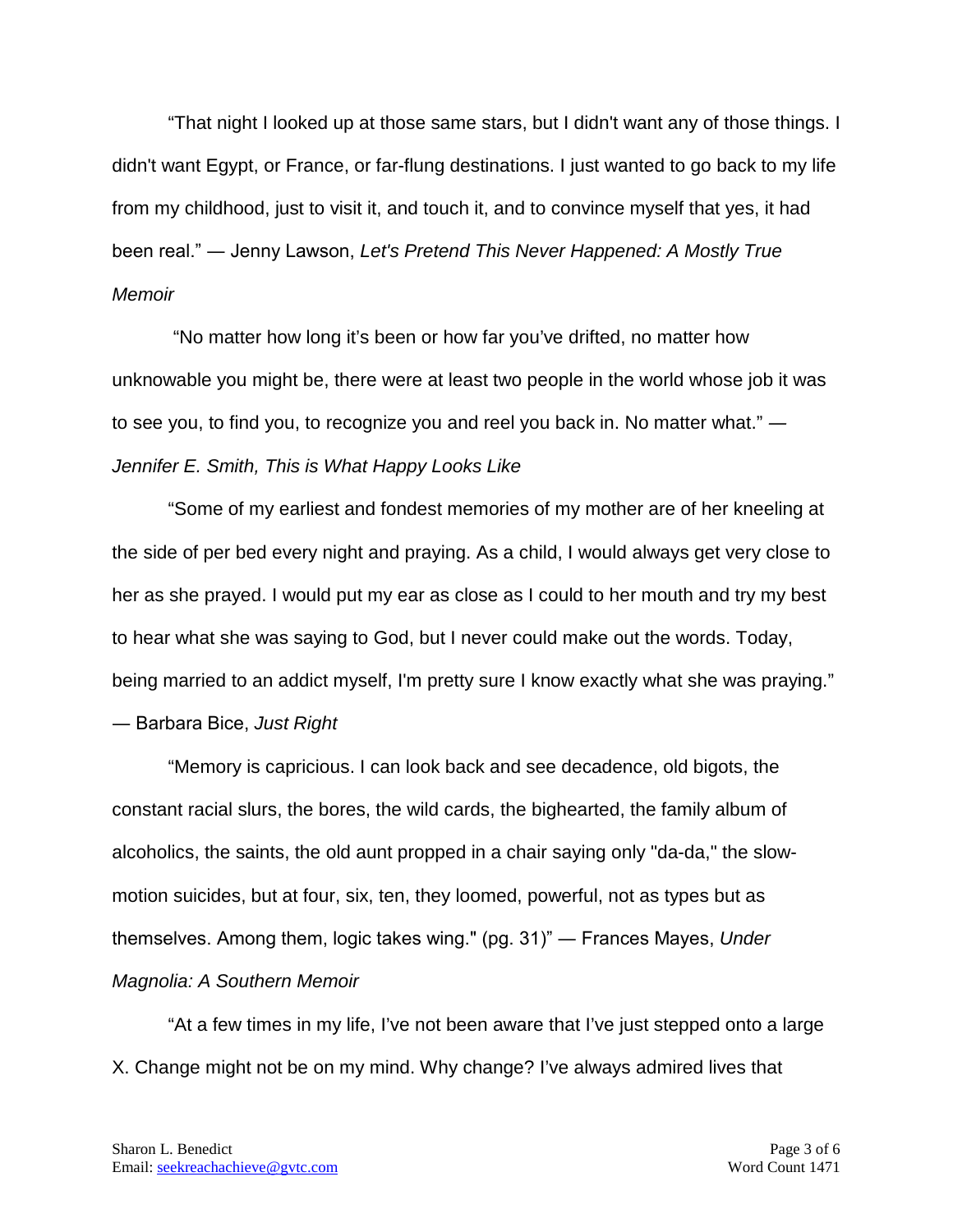"That night I looked up at those same stars, but I didn't want any of those things. I didn't want Egypt, or France, or far-flung destinations. I just wanted to go back to my life from my childhood, just to visit it, and touch it, and to convince myself that yes, it had been real." ― Jenny Lawson, *Let's Pretend This Never Happened: A Mostly True Memoir*

"No matter how long it's been or how far you've drifted, no matter how unknowable you might be, there were at least two people in the world whose job it was to see you, to find you, to recognize you and reel you back in. No matter what." *― Jennifer E. Smith, This is What Happy Looks Like*

"Some of my earliest and fondest memories of my mother are of her kneeling at the side of per bed every night and praying. As a child, I would always get very close to her as she prayed. I would put my ear as close as I could to her mouth and try my best to hear what she was saying to God, but I never could make out the words. Today, being married to an addict myself, I'm pretty sure I know exactly what she was praying." ― Barbara Bice, *Just Right*

"Memory is capricious. I can look back and see decadence, old bigots, the constant racial slurs, the bores, the wild cards, the bighearted, the family album of alcoholics, the saints, the old aunt propped in a chair saying only "da-da," the slowmotion suicides, but at four, six, ten, they loomed, powerful, not as types but as themselves. Among them, logic takes wing." (pg. 31)" ― Frances Mayes, *Under Magnolia: A Southern Memoir*

"At a few times in my life, I've not been aware that I've just stepped onto a large X. Change might not be on my mind. Why change? I've always admired lives that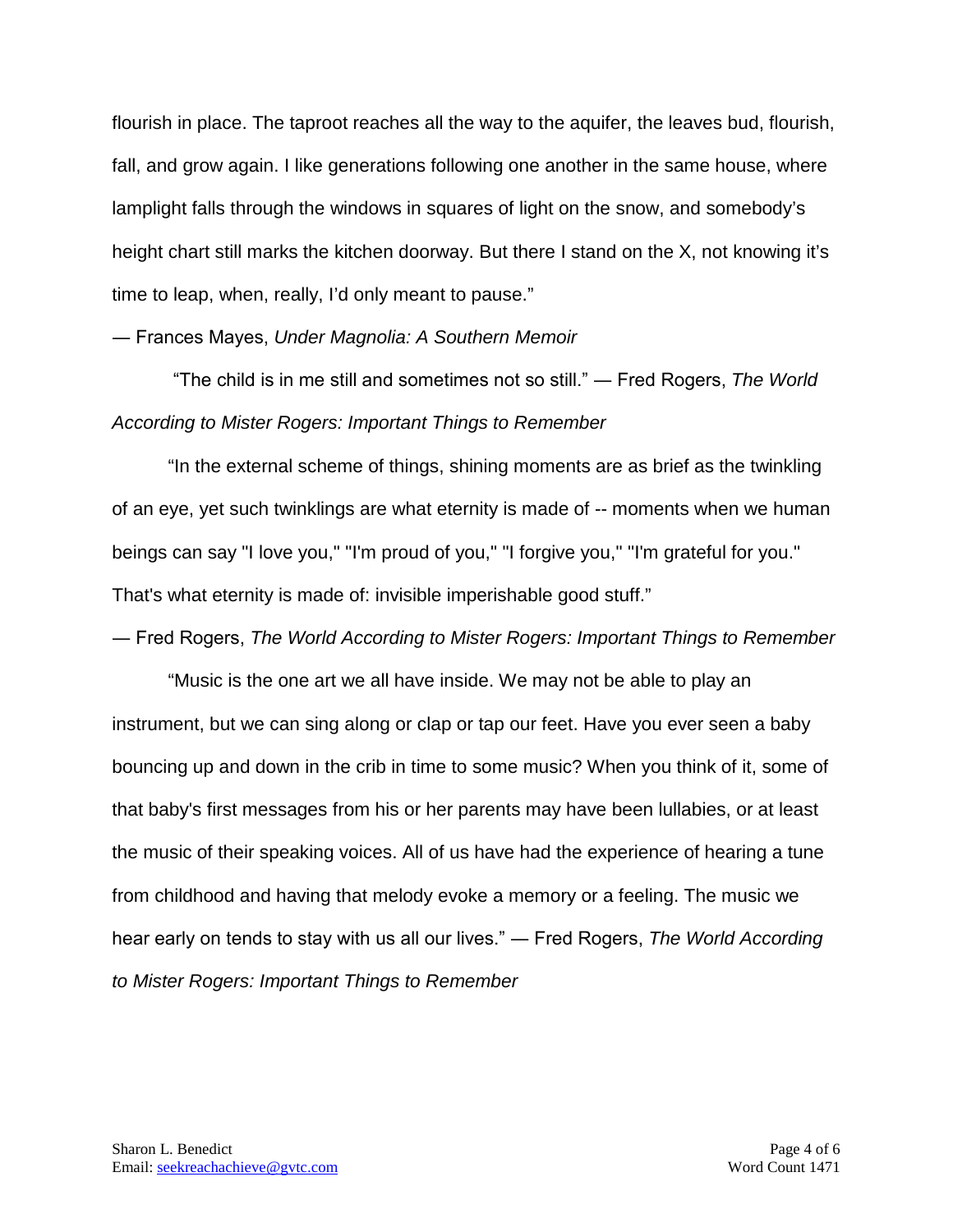flourish in place. The taproot reaches all the way to the aquifer, the leaves bud, flourish, fall, and grow again. I like generations following one another in the same house, where lamplight falls through the windows in squares of light on the snow, and somebody's height chart still marks the kitchen doorway. But there I stand on the X, not knowing it's time to leap, when, really, I'd only meant to pause."

― Frances Mayes, *Under Magnolia: A Southern Memoir*

"The child is in me still and sometimes not so still." ― Fred Rogers, *The World According to Mister Rogers: Important Things to Remember*

"In the external scheme of things, shining moments are as brief as the twinkling of an eye, yet such twinklings are what eternity is made of -- moments when we human beings can say "I love you," "I'm proud of you," "I forgive you," "I'm grateful for you." That's what eternity is made of: invisible imperishable good stuff."

― Fred Rogers, *The World According to Mister Rogers: Important Things to Remember*

"Music is the one art we all have inside. We may not be able to play an instrument, but we can sing along or clap or tap our feet. Have you ever seen a baby bouncing up and down in the crib in time to some music? When you think of it, some of that baby's first messages from his or her parents may have been lullabies, or at least the music of their speaking voices. All of us have had the experience of hearing a tune from childhood and having that melody evoke a memory or a feeling. The music we hear early on tends to stay with us all our lives." ― Fred Rogers, *The World According to Mister Rogers: Important Things to Remember*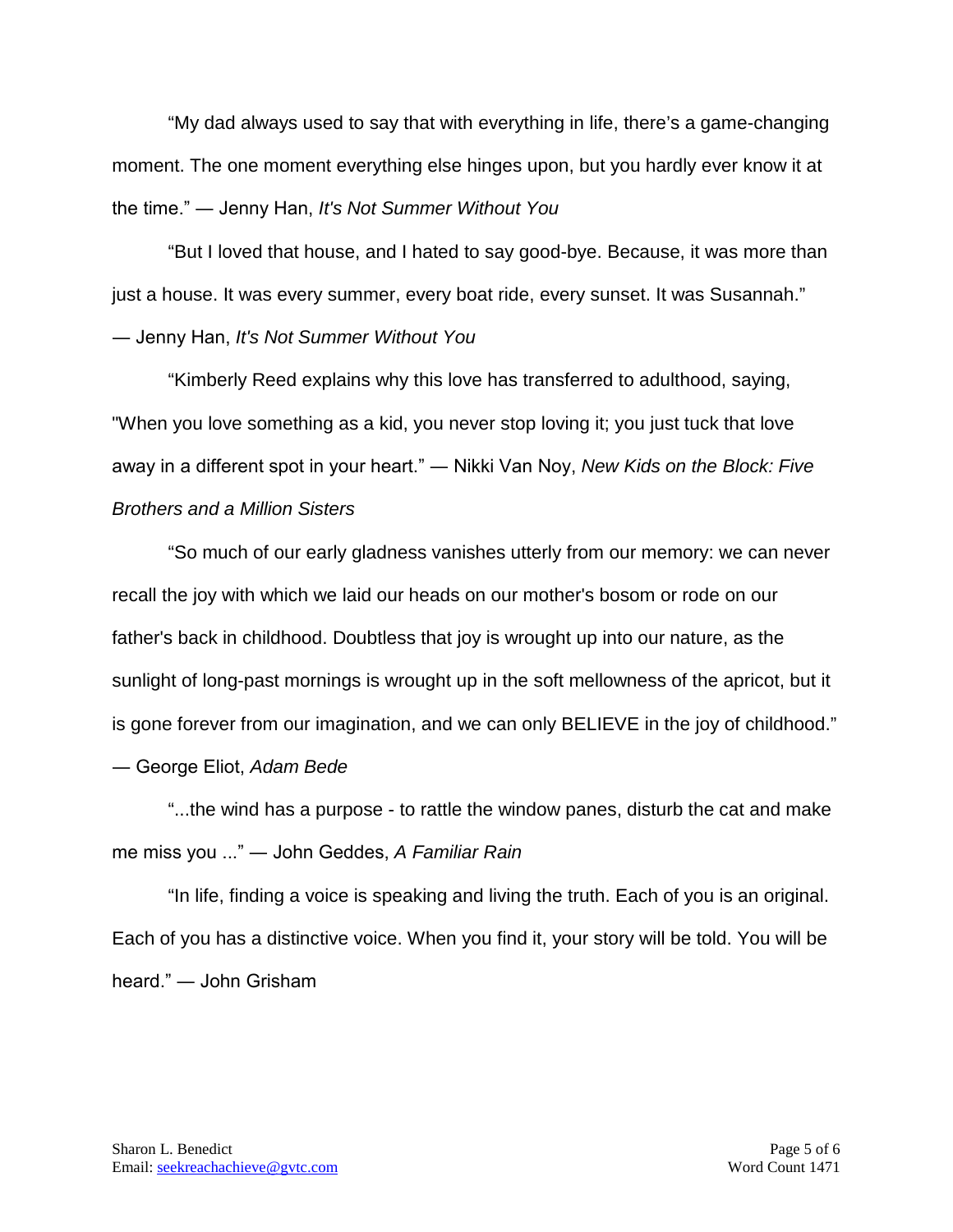"My dad always used to say that with everything in life, there's a game-changing moment. The one moment everything else hinges upon, but you hardly ever know it at the time." ― Jenny Han, *It's Not Summer Without You*

"But I loved that house, and I hated to say good-bye. Because, it was more than just a house. It was every summer, every boat ride, every sunset. It was Susannah." ― Jenny Han, *It's Not Summer Without You*

"Kimberly Reed explains why this love has transferred to adulthood, saying, "When you love something as a kid, you never stop loving it; you just tuck that love away in a different spot in your heart." ― Nikki Van Noy, *New Kids on the Block: Five Brothers and a Million Sisters*

"So much of our early gladness vanishes utterly from our memory: we can never recall the joy with which we laid our heads on our mother's bosom or rode on our father's back in childhood. Doubtless that joy is wrought up into our nature, as the sunlight of long-past mornings is wrought up in the soft mellowness of the apricot, but it is gone forever from our imagination, and we can only BELIEVE in the joy of childhood."

― George Eliot, *Adam Bede*

"...the wind has a purpose - to rattle the window panes, disturb the cat and make me miss you ..." ― John Geddes, *A Familiar Rain* 

"In life, finding a voice is speaking and living the truth. Each of you is an original. Each of you has a distinctive voice. When you find it, your story will be told. You will be heard." ― John Grisham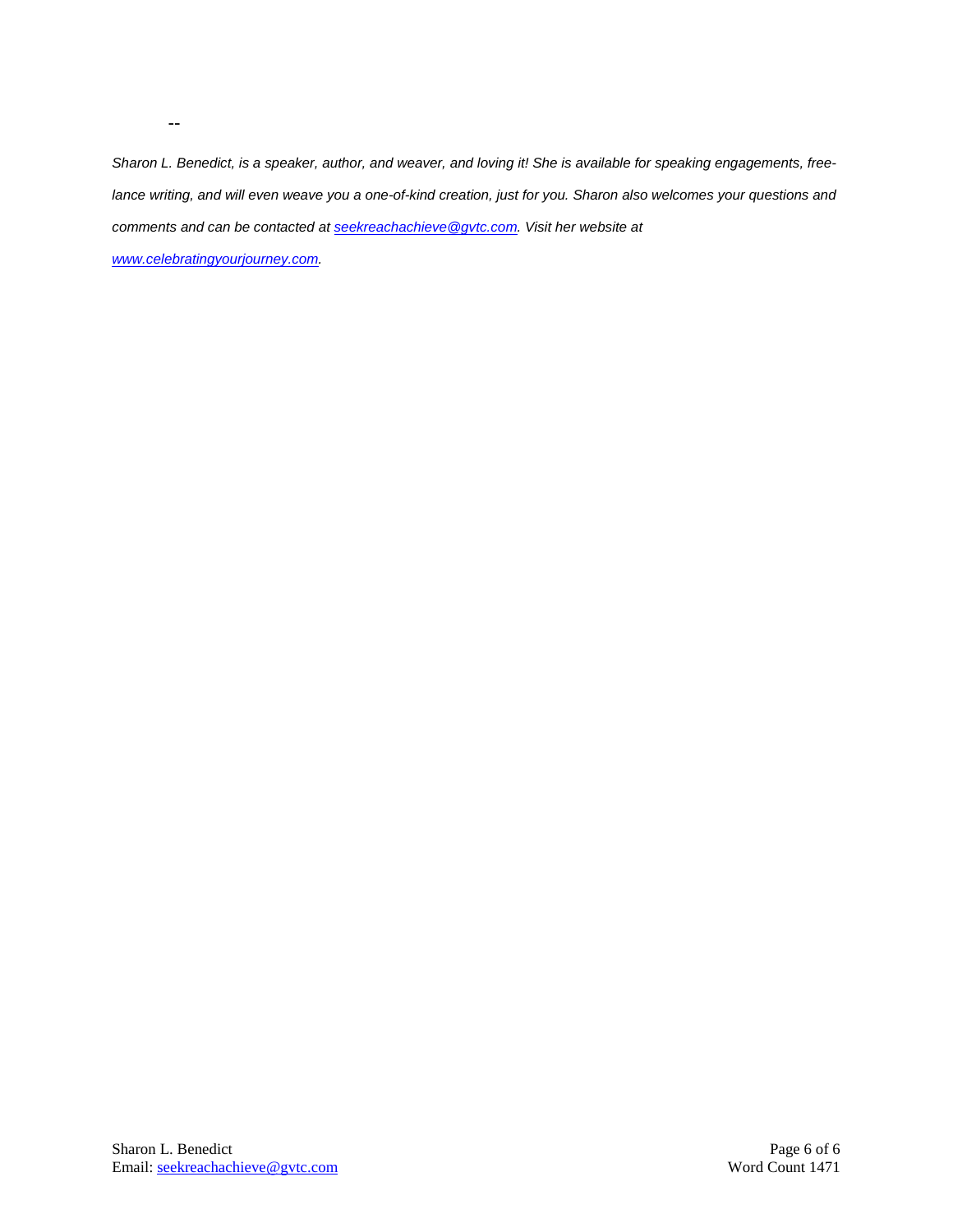*Sharon L. Benedict, is a speaker, author, and weaver, and loving it! She is available for speaking engagements, freelance writing, and will even weave you a one-of-kind creation, just for you. Sharon also welcomes your questions and comments and can be contacted a[t seekreachachieve@gvtc.com.](mailto:seekreachachieve@gvtc.com) Visit her website at* 

*[www.celebratingyourjourney.com.](http://www.celebratingyourjourney.com/)*

--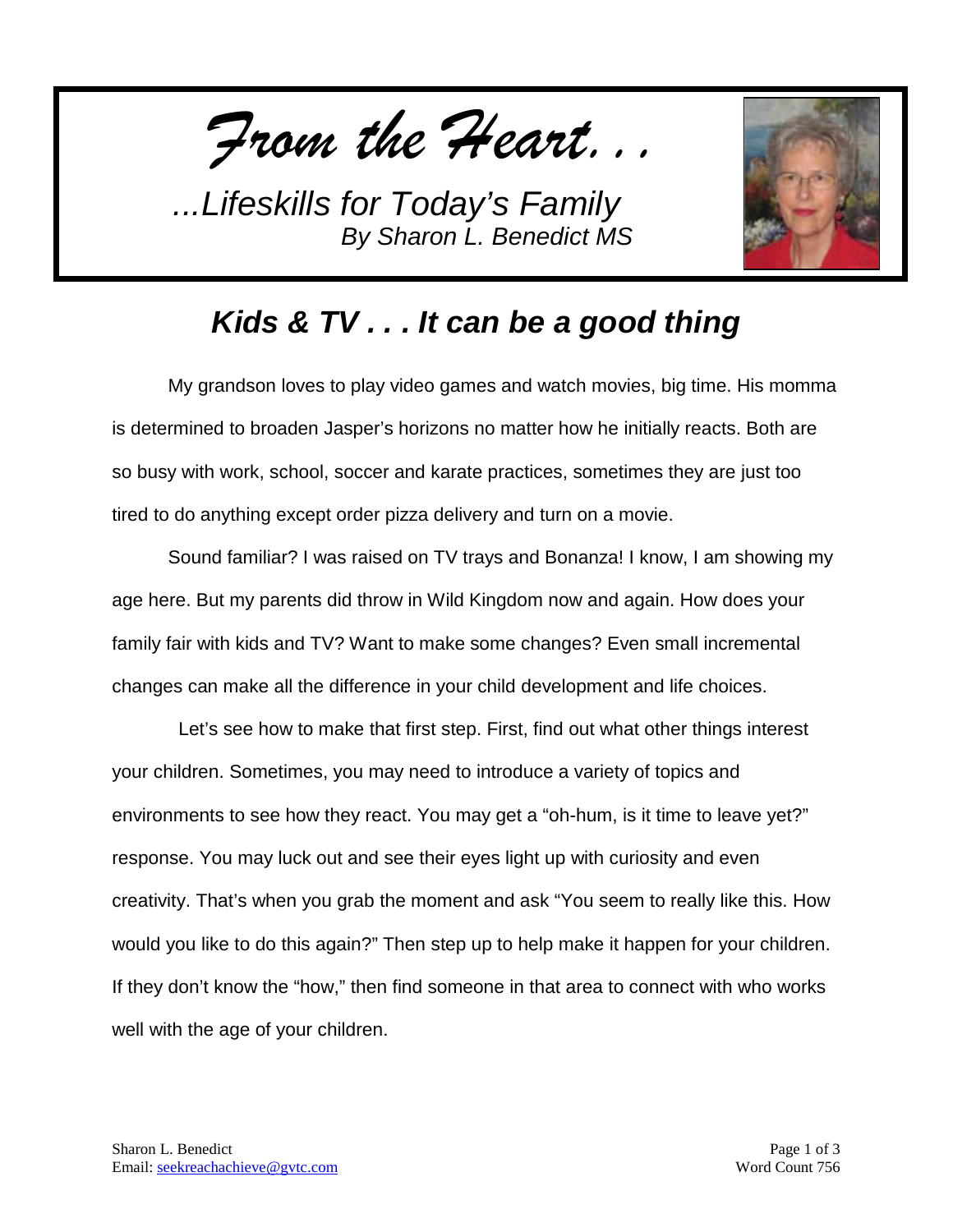*From the Heart...*



## *Kids & TV . . . It can be a good thing*

My grandson loves to play video games and watch movies, big time. His momma is determined to broaden Jasper's horizons no matter how he initially reacts. Both are so busy with work, school, soccer and karate practices, sometimes they are just too tired to do anything except order pizza delivery and turn on a movie.

Sound familiar? I was raised on TV trays and Bonanza! I know, I am showing my age here. But my parents did throw in Wild Kingdom now and again. How does your family fair with kids and TV? Want to make some changes? Even small incremental changes can make all the difference in your child development and life choices.

 Let's see how to make that first step. First, find out what other things interest your children. Sometimes, you may need to introduce a variety of topics and environments to see how they react. You may get a "oh-hum, is it time to leave yet?" response. You may luck out and see their eyes light up with curiosity and even creativity. That's when you grab the moment and ask "You seem to really like this. How would you like to do this again?" Then step up to help make it happen for your children. If they don't know the "how," then find someone in that area to connect with who works well with the age of your children.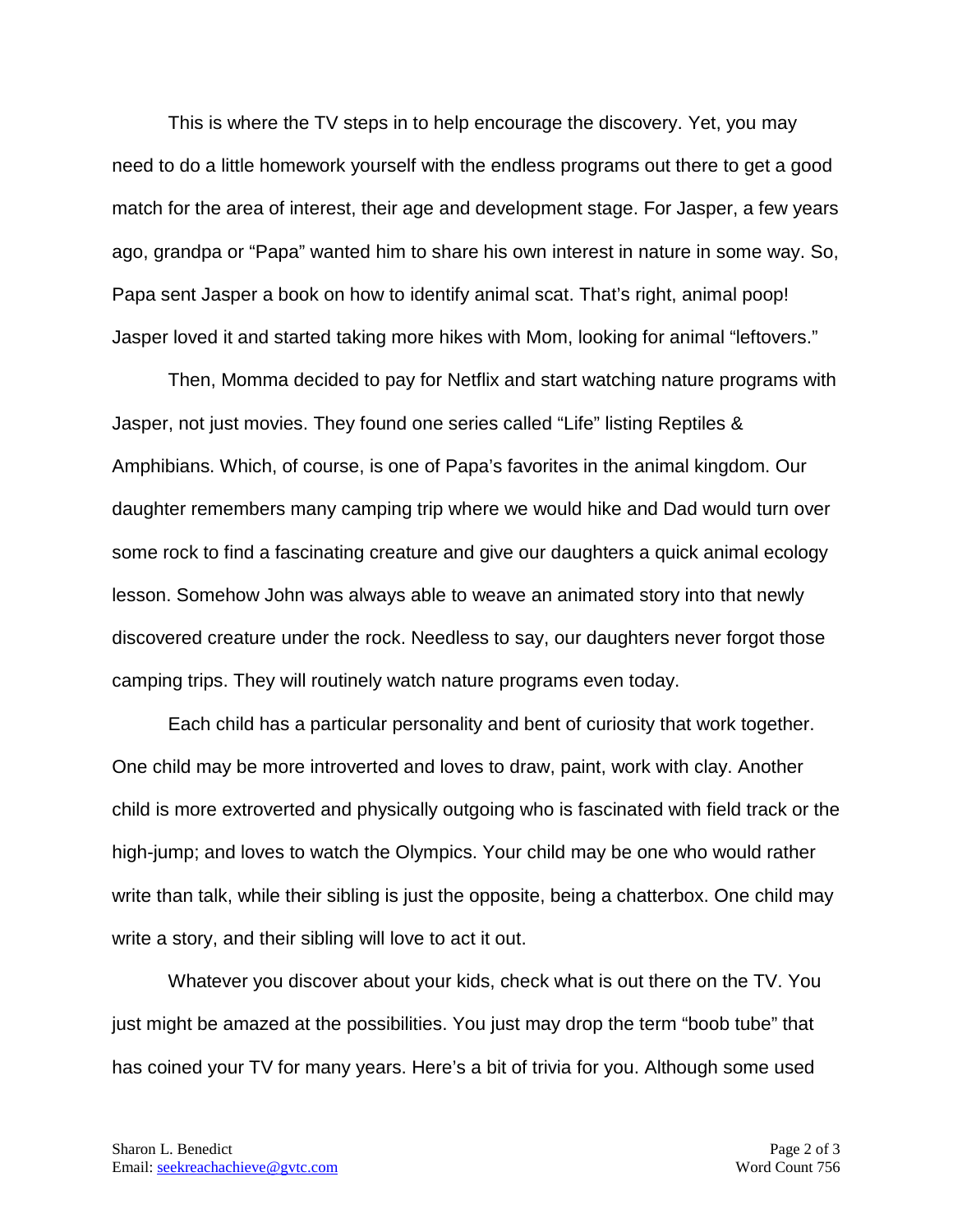This is where the TV steps in to help encourage the discovery. Yet, you may need to do a little homework yourself with the endless programs out there to get a good match for the area of interest, their age and development stage. For Jasper, a few years ago, grandpa or "Papa" wanted him to share his own interest in nature in some way. So, Papa sent Jasper a book on how to identify animal scat. That's right, animal poop! Jasper loved it and started taking more hikes with Mom, looking for animal "leftovers."

Then, Momma decided to pay for Netflix and start watching nature programs with Jasper, not just movies. They found one series called "Life" listing Reptiles & Amphibians. Which, of course, is one of Papa's favorites in the animal kingdom. Our daughter remembers many camping trip where we would hike and Dad would turn over some rock to find a fascinating creature and give our daughters a quick animal ecology lesson. Somehow John was always able to weave an animated story into that newly discovered creature under the rock. Needless to say, our daughters never forgot those camping trips. They will routinely watch nature programs even today.

Each child has a particular personality and bent of curiosity that work together. One child may be more introverted and loves to draw, paint, work with clay. Another child is more extroverted and physically outgoing who is fascinated with field track or the high-jump; and loves to watch the Olympics. Your child may be one who would rather write than talk, while their sibling is just the opposite, being a chatterbox. One child may write a story, and their sibling will love to act it out.

Whatever you discover about your kids, check what is out there on the TV. You just might be amazed at the possibilities. You just may drop the term "boob tube" that has coined your TV for many years. Here's a bit of trivia for you. Although some used